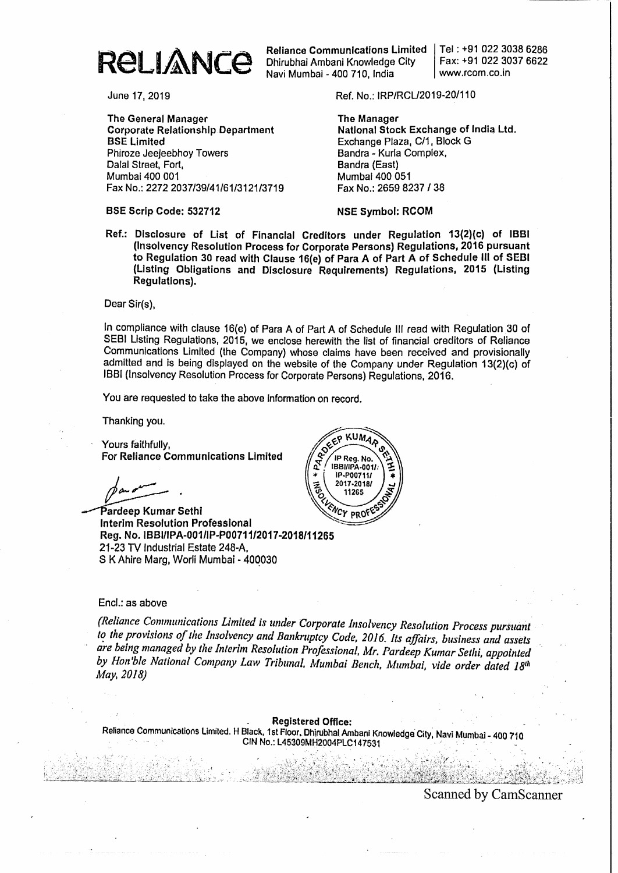

Dhirubhai Ambani Knowledge City Navi Mumbai - 400 710. India

Tel: +91 022 30386286 Fax: +91 022 3037 6622 www.rcom.co.in

The General Manager **Corporate Relationship Department** BSE Limited Phiroze Jeejeebhoy Towers Dalal Street, Fort, Mumbai 400 001 Fax No.: 22722037/39/41/61/3121/3719

BSE Scrip Code: 532712

June 17, 2019 **Ref. No.: IRP/RCL/2019-20/110** 

The Manager National Stock Exchange of India Ltd. Exchange Plaza. C/1. Block G Bandra - Kurla Complex, Sandra (East) Mumbal 400 051 Fax No.: 2659 8237 I 38

NSE Symbol: ReOM

Ref.: Disclosure of List of FinancIal Creditors under Regulation 13(2)(c) of IBBI (Insolvency Resolution Process for Corporate Persons) Regulations, 2016 pursuant to Regulation 30 read with Clause 16(e) of Para A of Part A of Schedule III of SEBI (Listing Obligations and Disclosure Requirements) Regulations, 2015 (Listing Regulations).

Dear Sir(s).

In compliance with clause 16(e) of Para A of Part A of Schedule III read with Regulation 30 of SEBI Listing Regulations, 2015. we enclose herewith the list of financial creditors of Reliance Communications Limited (the Company) whose claims have been received and provisionally admitted and is being displayed on the website of the Company under Regulation 13(2)(c) of 1881 (Insolvency Resolution Process for Corporate Persons) Regulations. 2016.

You are requested to take the above information on record..

Thanking you.

Yours faithfully, For Reliance Communications Limited

par <u>1000</u>.

Pardeep Kumar Sethi<br>Interim Resolution Professional Reg. No. IBBI/IPA-001/IP-P00711/2017-2018/11265 21-23 TV Industrial Estate 248-A. S K Ahire Marg, Worli Mumbai - 400030



## Encl.: as above

*(Reliance Communications Limited is lInder Corporate Insolvency Resolution Process pursuant. .* Ii! *the provisions oflite Insolvency and* Bankruptcy *Code, 2016.. Its affairs, business and assets . are being managed by the Interim Resolution Professional.* Mr. *Pardeep Kumar Sethi. appointed . by Hon'ble National Company Law Tribunal. Mumbai Bench. Mumbai, vide order dated 18<sup>th</sup>* May, 2018)

Registered Office: Reliance Communications Limited. H Black. 1st Floor, Dhirubhal Ambani Knowledge City, Navi Mumbai - 400 710 •.<br>CIN No.: L45309MH2004PLC147531 .

Scanned by CamScanner